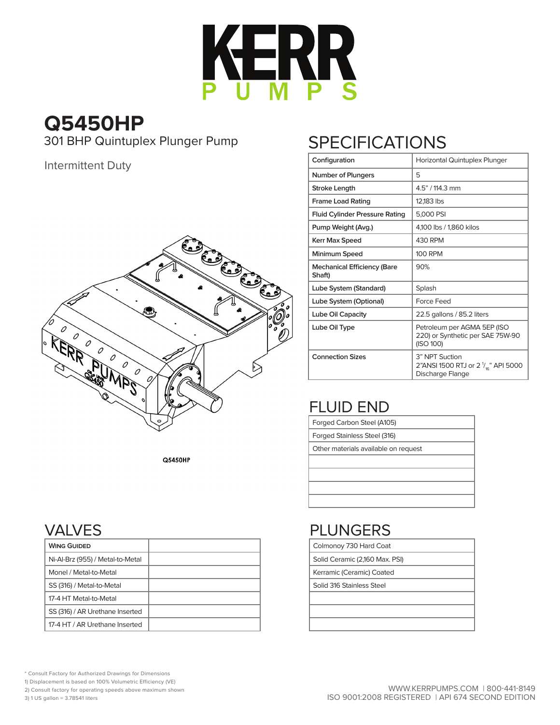

**Q5450HP**

301 BHP Quintuplex Plunger Pump

Intermittent Duty



**Q5450HP** 

## VALVES

| <b>WING GUIDED</b>               |  |
|----------------------------------|--|
| Ni-Al-Brz (955) / Metal-to-Metal |  |
| Monel / Metal-to-Metal           |  |
| SS (316) / Metal-to-Metal        |  |
| 17-4 HT Metal-to-Metal           |  |
| SS (316) / AR Urethane Inserted  |  |
| 17-4 HT / AR Urethane Inserted   |  |

## **SPECIFICATIONS**

| Configuration                                | Horizontal Quintuplex Plunger                                                        |
|----------------------------------------------|--------------------------------------------------------------------------------------|
| <b>Number of Plungers</b>                    | 5                                                                                    |
| Stroke Length                                | 4.5" / 114.3 mm                                                                      |
| <b>Frame Load Rating</b>                     | 12.183 lbs                                                                           |
| <b>Fluid Cylinder Pressure Rating</b>        | 5,000 PSI                                                                            |
| Pump Weight (Avg.)                           | 4,100 lbs / 1,860 kilos                                                              |
| <b>Kerr Max Speed</b>                        | 430 RPM                                                                              |
| Minimum Speed                                | <b>100 RPM</b>                                                                       |
| <b>Mechanical Efficiency (Bare</b><br>Shaft) | 90%                                                                                  |
| Lube System (Standard)                       | Splash                                                                               |
| Lube System (Optional)                       | Force Feed                                                                           |
| Lube Oil Capacity                            | 22.5 gallons / 85.2 liters                                                           |
| Lube Oil Type                                | Petroleum per AGMA 5EP (ISO<br>220) or Synthetic per SAE 75W-90<br>(ISO 100)         |
| <b>Connection Sizes</b>                      | 3" NPT Suction<br>2"ANSI 1500 RTJ or 2 $\frac{1}{16}$ " API 5000<br>Discharge Flange |

## FLUID END

| Forged Carbon Steel (A105)           |
|--------------------------------------|
| Forged Stainless Steel (316)         |
| Other materials available on request |
|                                      |

## PLUNGERS

Colmonoy 730 Hard Coat

Solid Ceramic (2,160 Max. PSI)

Kerramic (Ceramic) Coated

Solid 316 Stainless Steel

\* Consult Factory for Authorized Drawings for Dimensions

1) Displacement is based on 100% Volumetric Efficiency (VE)

2) Consult factory for operating speeds above maximum shown

3) 1 US gallon = 3.78541 liters